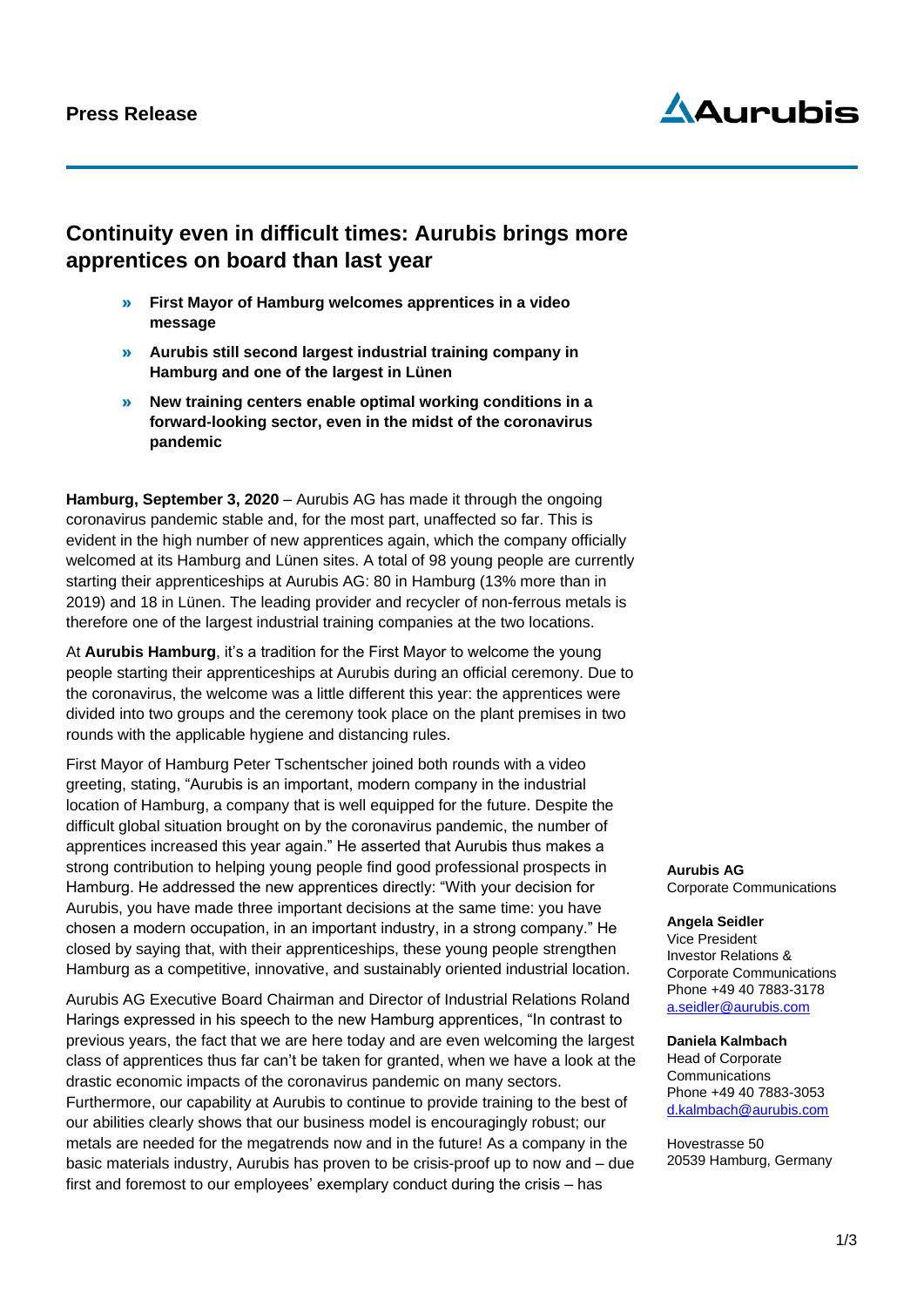# **Aurubis**

### **Continuity even in difficult times: Aurubis brings more apprentices on board than last year**

- » **First Mayor of Hamburg welcomes apprentices in a video message**
- » **Aurubis still second largest industrial training company in Hamburg and one of the largest in Lünen**
- » **New training centers enable optimal working conditions in a forward-looking sector, even in the midst of the coronavirus pandemic**

**Hamburg, September 3, 2020** – Aurubis AG has made it through the ongoing coronavirus pandemic stable and, for the most part, unaffected so far. This is evident in the high number of new apprentices again, which the company officially welcomed at its Hamburg and Lünen sites. A total of 98 young people are currently starting their apprenticeships at Aurubis AG: 80 in Hamburg (13% more than in 2019) and 18 in Lünen. The leading provider and recycler of non-ferrous metals is therefore one of the largest industrial training companies at the two locations.

At **Aurubis Hamburg**, it's a tradition for the First Mayor to welcome the young people starting their apprenticeships at Aurubis during an official ceremony. Due to the coronavirus, the welcome was a little different this year: the apprentices were divided into two groups and the ceremony took place on the plant premises in two rounds with the applicable hygiene and distancing rules.

First Mayor of Hamburg Peter Tschentscher joined both rounds with a video greeting, stating, "Aurubis is an important, modern company in the industrial location of Hamburg, a company that is well equipped for the future. Despite the difficult global situation brought on by the coronavirus pandemic, the number of apprentices increased this year again." He asserted that Aurubis thus makes a strong contribution to helping young people find good professional prospects in Hamburg. He addressed the new apprentices directly: "With your decision for Aurubis, you have made three important decisions at the same time: you have chosen a modern occupation, in an important industry, in a strong company." He closed by saying that, with their apprenticeships, these young people strengthen Hamburg as a competitive, innovative, and sustainably oriented industrial location.

Aurubis AG Executive Board Chairman and Director of Industrial Relations Roland Harings expressed in his speech to the new Hamburg apprentices, "In contrast to previous years, the fact that we are here today and are even welcoming the largest class of apprentices thus far can't be taken for granted, when we have a look at the drastic economic impacts of the coronavirus pandemic on many sectors. Furthermore, our capability at Aurubis to continue to provide training to the best of our abilities clearly shows that our business model is encouragingly robust; our metals are needed for the megatrends now and in the future! As a company in the basic materials industry, Aurubis has proven to be crisis-proof up to now and – due first and foremost to our employees' exemplary conduct during the crisis – has

**Aurubis AG** Corporate Communications

#### **Angela Seidler**

Vice President Investor Relations & Corporate Communications Phone +49 40 7883-3178 [a.seidler@aurubis.com](mailto:a.seidler@aurubis.com)

**Daniela Kalmbach** Head of Corporate **Communications** Phone +49 40 7883-3053 d.kalmbach@aurubis.com

Hovestrasse 50 20539 Hamburg, Germany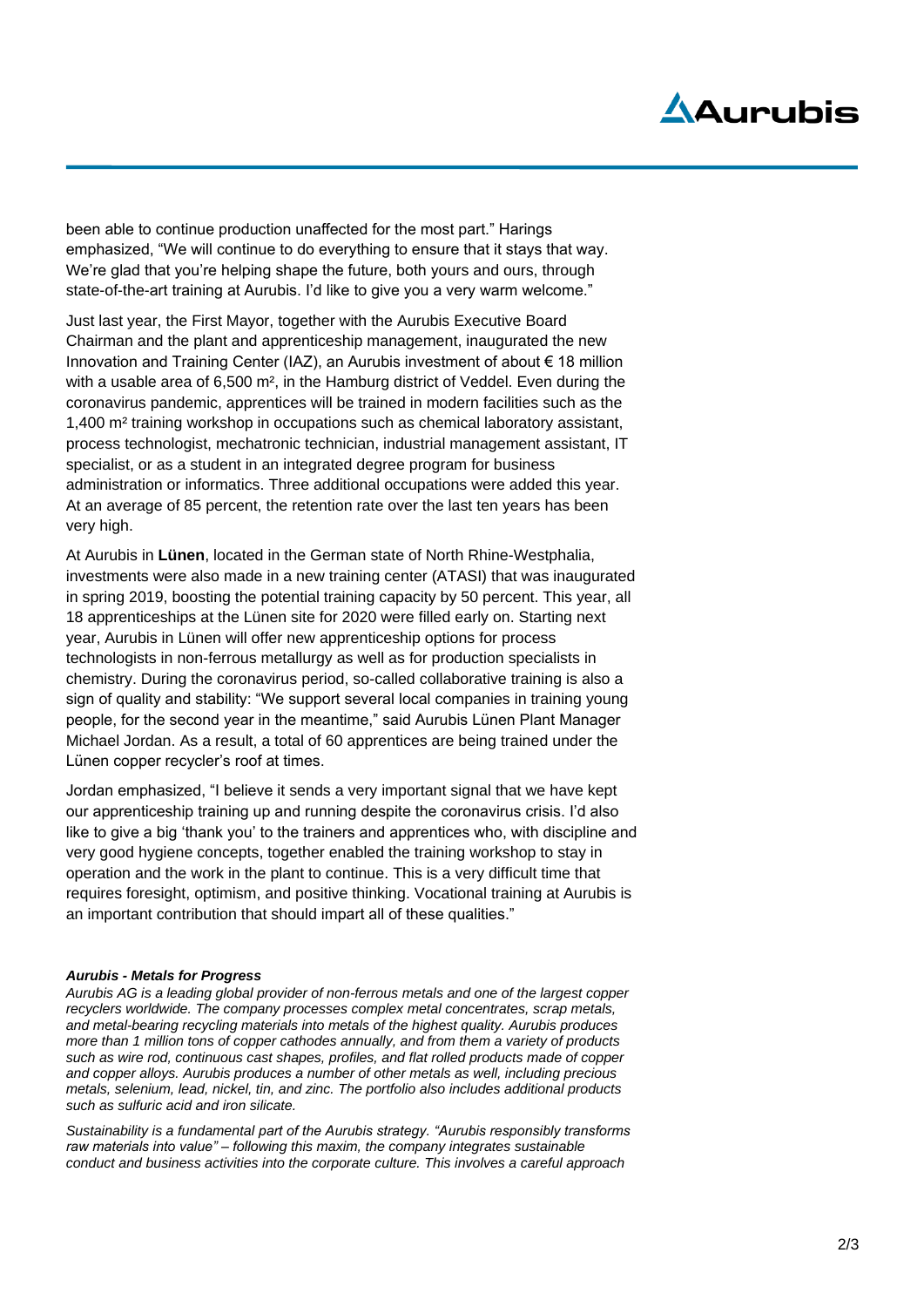# Aduruhis

been able to continue production unaffected for the most part." Harings emphasized, "We will continue to do everything to ensure that it stays that way. We're glad that you're helping shape the future, both yours and ours, through state-of-the-art training at Aurubis. I'd like to give you a very warm welcome."

Just last year, the First Mayor, together with the Aurubis Executive Board Chairman and the plant and apprenticeship management, inaugurated the new Innovation and Training Center (IAZ), an Aurubis investment of about € 18 million with a usable area of 6,500 m<sup>2</sup>, in the Hamburg district of Veddel. Even during the coronavirus pandemic, apprentices will be trained in modern facilities such as the 1,400 m² training workshop in occupations such as chemical laboratory assistant, process technologist, mechatronic technician, industrial management assistant, IT specialist, or as a student in an integrated degree program for business administration or informatics. Three additional occupations were added this year. At an average of 85 percent, the retention rate over the last ten years has been very high.

At Aurubis in **Lünen**, located in the German state of North Rhine-Westphalia, investments were also made in a new training center (ATASI) that was inaugurated in spring 2019, boosting the potential training capacity by 50 percent. This year, all 18 apprenticeships at the Lünen site for 2020 were filled early on. Starting next year, Aurubis in Lünen will offer new apprenticeship options for process technologists in non-ferrous metallurgy as well as for production specialists in chemistry. During the coronavirus period, so-called collaborative training is also a sign of quality and stability: "We support several local companies in training young people, for the second year in the meantime," said Aurubis Lünen Plant Manager Michael Jordan. As a result, a total of 60 apprentices are being trained under the Lünen copper recycler's roof at times.

Jordan emphasized, "I believe it sends a very important signal that we have kept our apprenticeship training up and running despite the coronavirus crisis. I'd also like to give a big 'thank you' to the trainers and apprentices who, with discipline and very good hygiene concepts, together enabled the training workshop to stay in operation and the work in the plant to continue. This is a very difficult time that requires foresight, optimism, and positive thinking. Vocational training at Aurubis is an important contribution that should impart all of these qualities."

#### *Aurubis - Metals for Progress*

*Aurubis AG is a leading global provider of non-ferrous metals and one of the largest copper recyclers worldwide. The company processes complex metal concentrates, scrap metals, and metal-bearing recycling materials into metals of the highest quality. Aurubis produces more than 1 million tons of copper cathodes annually, and from them a variety of products such as wire rod, continuous cast shapes, profiles, and flat rolled products made of copper and copper alloys. Aurubis produces a number of other metals as well, including precious metals, selenium, lead, nickel, tin, and zinc. The portfolio also includes additional products such as sulfuric acid and iron silicate.*

*Sustainability is a fundamental part of the Aurubis strategy. "Aurubis responsibly transforms raw materials into value" – following this maxim, the company integrates sustainable conduct and business activities into the corporate culture. This involves a careful approach*